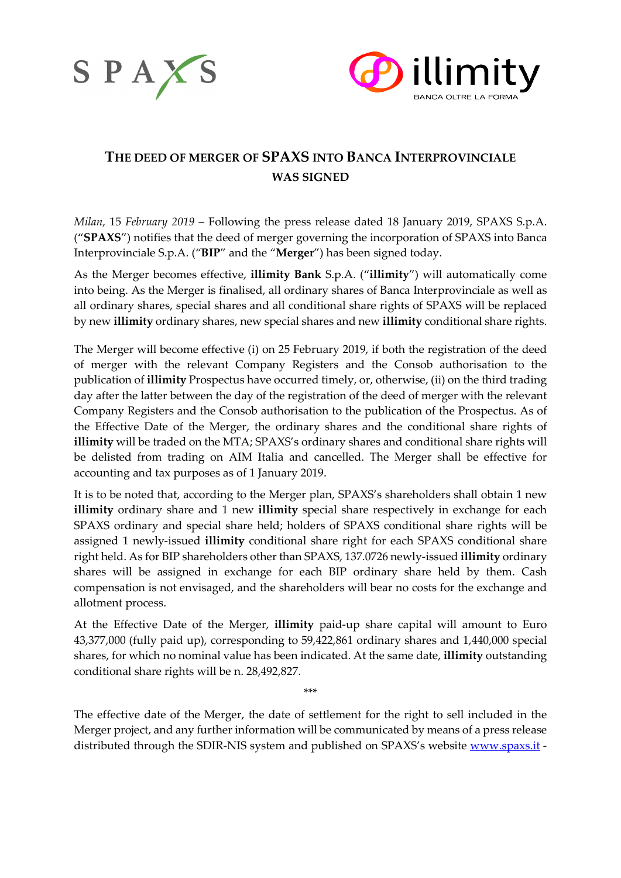



# **THE DEED OF MERGER OF SPAXS INTO BANCA INTERPROVINCIALE WAS SIGNED**

*Milan,* 15 *February 2019* – Following the press release dated 18 January 2019, SPAXS S.p.A. ("**SPAXS**") notifies that the deed of merger governing the incorporation of SPAXS into Banca Interprovinciale S.p.A. ("**BIP**" and the "**Merger**") has been signed today.

As the Merger becomes effective, **illimity Bank** S.p.A. ("**illimity**") will automatically come into being. As the Merger is finalised, all ordinary shares of Banca Interprovinciale as well as all ordinary shares, special shares and all conditional share rights of SPAXS will be replaced by new **illimity** ordinary shares, new special shares and new **illimity** conditional share rights.

The Merger will become effective (i) on 25 February 2019, if both the registration of the deed of merger with the relevant Company Registers and the Consob authorisation to the publication of **illimity** Prospectus have occurred timely, or, otherwise, (ii) on the third trading day after the latter between the day of the registration of the deed of merger with the relevant Company Registers and the Consob authorisation to the publication of the Prospectus. As of the Effective Date of the Merger, the ordinary shares and the conditional share rights of **illimity** will be traded on the MTA; SPAXS's ordinary shares and conditional share rights will be delisted from trading on AIM Italia and cancelled. The Merger shall be effective for accounting and tax purposes as of 1 January 2019.

It is to be noted that, according to the Merger plan, SPAXS's shareholders shall obtain 1 new **illimity** ordinary share and 1 new **illimity** special share respectively in exchange for each SPAXS ordinary and special share held; holders of SPAXS conditional share rights will be assigned 1 newly-issued **illimity** conditional share right for each SPAXS conditional share right held. As for BIP shareholders other than SPAXS, 137.0726 newly-issued **illimity** ordinary shares will be assigned in exchange for each BIP ordinary share held by them. Cash compensation is not envisaged, and the shareholders will bear no costs for the exchange and allotment process.

At the Effective Date of the Merger, **illimity** paid-up share capital will amount to Euro 43,377,000 (fully paid up), corresponding to 59,422,861 ordinary shares and 1,440,000 special shares, for which no nominal value has been indicated. At the same date, **illimity** outstanding conditional share rights will be n. 28,492,827.

The effective date of the Merger, the date of settlement for the right to sell included in the Merger project, and any further information will be communicated by means of a press release distributed through the SDIR-NIS system and published on SPAXS's website [www.spaxs.it](http://www.spaxs.it/) -

\*\*\*